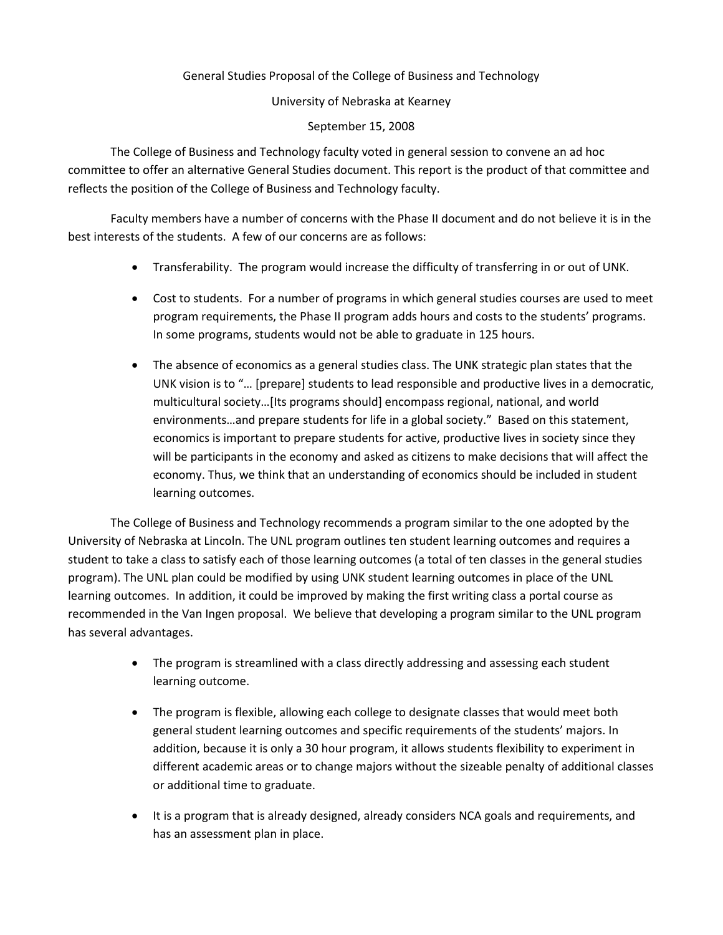General Studies Proposal of the College of Business and Technology

University of Nebraska at Kearney

September 15, 2008

The College of Business and Technology faculty voted in general session to convene an ad hoc committee to offer an alternative General Studies document. This report is the product of that committee and reflects the position of the College of Business and Technology faculty.

Faculty members have a number of concerns with the Phase II document and do not believe it is in the best interests of the students. A few of our concerns are as follows:

- Transferability. The program would increase the difficulty of transferring in or out of UNK.
- Cost to students. For a number of programs in which general studies courses are used to meet program requirements, the Phase II program adds hours and costs to the students' programs. In some programs, students would not be able to graduate in 125 hours.
- The absence of economics as a general studies class. The UNK strategic plan states that the UNK vision is to "… [prepare] students to lead responsible and productive lives in a democratic, multicultural society…[Its programs should] encompass regional, national, and world environments…and prepare students for life in a global society." Based on this statement, economics is important to prepare students for active, productive lives in society since they will be participants in the economy and asked as citizens to make decisions that will affect the economy. Thus, we think that an understanding of economics should be included in student learning outcomes.

The College of Business and Technology recommends a program similar to the one adopted by the University of Nebraska at Lincoln. The UNL program outlines ten student learning outcomes and requires a student to take a class to satisfy each of those learning outcomes (a total of ten classes in the general studies program). The UNL plan could be modified by using UNK student learning outcomes in place of the UNL learning outcomes. In addition, it could be improved by making the first writing class a portal course as recommended in the Van Ingen proposal. We believe that developing a program similar to the UNL program has several advantages.

- The program is streamlined with a class directly addressing and assessing each student learning outcome.
- The program is flexible, allowing each college to designate classes that would meet both general student learning outcomes and specific requirements of the students' majors. In addition, because it is only a 30 hour program, it allows students flexibility to experiment in different academic areas or to change majors without the sizeable penalty of additional classes or additional time to graduate.
- It is a program that is already designed, already considers NCA goals and requirements, and has an assessment plan in place.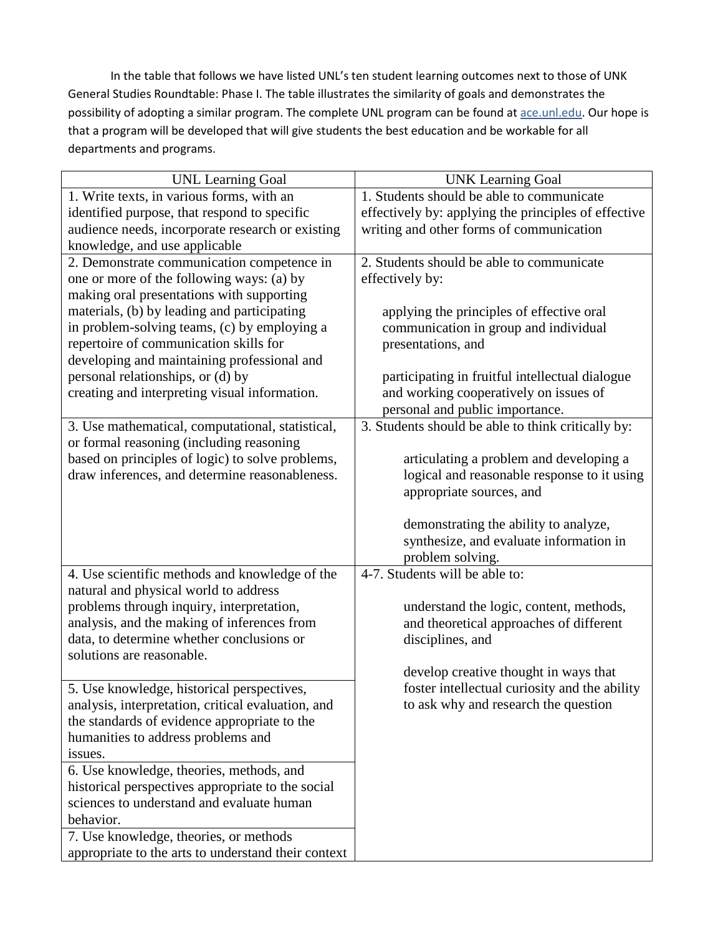In the table that follows we have listed UNL's ten student learning outcomes next to those of UNK General Studies Roundtable: Phase I. The table illustrates the similarity of goals and demonstrates the possibility of adopting a similar program. The complete UNL program can be found at ace.unl.edu. Our hope is that a program will be developed that will give students the best education and be workable for all departments and programs.

| <b>UNL Learning Goal</b>                                                                                                                                | <b>UNK Learning Goal</b>                             |
|---------------------------------------------------------------------------------------------------------------------------------------------------------|------------------------------------------------------|
| 1. Write texts, in various forms, with an                                                                                                               | 1. Students should be able to communicate            |
| identified purpose, that respond to specific                                                                                                            | effectively by: applying the principles of effective |
| audience needs, incorporate research or existing                                                                                                        | writing and other forms of communication             |
| knowledge, and use applicable                                                                                                                           |                                                      |
| 2. Demonstrate communication competence in                                                                                                              | 2. Students should be able to communicate            |
| one or more of the following ways: (a) by                                                                                                               | effectively by:                                      |
| making oral presentations with supporting                                                                                                               |                                                      |
| materials, (b) by leading and participating                                                                                                             | applying the principles of effective oral            |
| in problem-solving teams, (c) by employing a                                                                                                            | communication in group and individual                |
| repertoire of communication skills for                                                                                                                  | presentations, and                                   |
| developing and maintaining professional and                                                                                                             |                                                      |
| personal relationships, or (d) by                                                                                                                       | participating in fruitful intellectual dialogue      |
| creating and interpreting visual information.                                                                                                           | and working cooperatively on issues of               |
|                                                                                                                                                         | personal and public importance.                      |
| 3. Use mathematical, computational, statistical,                                                                                                        | 3. Students should be able to think critically by:   |
| or formal reasoning (including reasoning                                                                                                                |                                                      |
| based on principles of logic) to solve problems,                                                                                                        | articulating a problem and developing a              |
| draw inferences, and determine reasonableness.                                                                                                          | logical and reasonable response to it using          |
|                                                                                                                                                         | appropriate sources, and                             |
|                                                                                                                                                         |                                                      |
|                                                                                                                                                         | demonstrating the ability to analyze,                |
|                                                                                                                                                         | synthesize, and evaluate information in              |
|                                                                                                                                                         | problem solving.                                     |
| 4. Use scientific methods and knowledge of the                                                                                                          | 4-7. Students will be able to:                       |
| natural and physical world to address                                                                                                                   |                                                      |
| problems through inquiry, interpretation,                                                                                                               | understand the logic, content, methods,              |
| analysis, and the making of inferences from                                                                                                             | and theoretical approaches of different              |
| data, to determine whether conclusions or                                                                                                               | disciplines, and                                     |
| solutions are reasonable.                                                                                                                               |                                                      |
|                                                                                                                                                         | develop creative thought in ways that                |
| 5. Use knowledge, historical perspectives,                                                                                                              | foster intellectual curiosity and the ability        |
| analysis, interpretation, critical evaluation, and                                                                                                      | to ask why and research the question                 |
| the standards of evidence appropriate to the                                                                                                            |                                                      |
| humanities to address problems and                                                                                                                      |                                                      |
| issues.                                                                                                                                                 |                                                      |
| 6. Use knowledge, theories, methods, and                                                                                                                |                                                      |
| historical perspectives appropriate to the social                                                                                                       |                                                      |
|                                                                                                                                                         |                                                      |
|                                                                                                                                                         |                                                      |
|                                                                                                                                                         |                                                      |
|                                                                                                                                                         |                                                      |
| sciences to understand and evaluate human<br>behavior.<br>7. Use knowledge, theories, or methods<br>appropriate to the arts to understand their context |                                                      |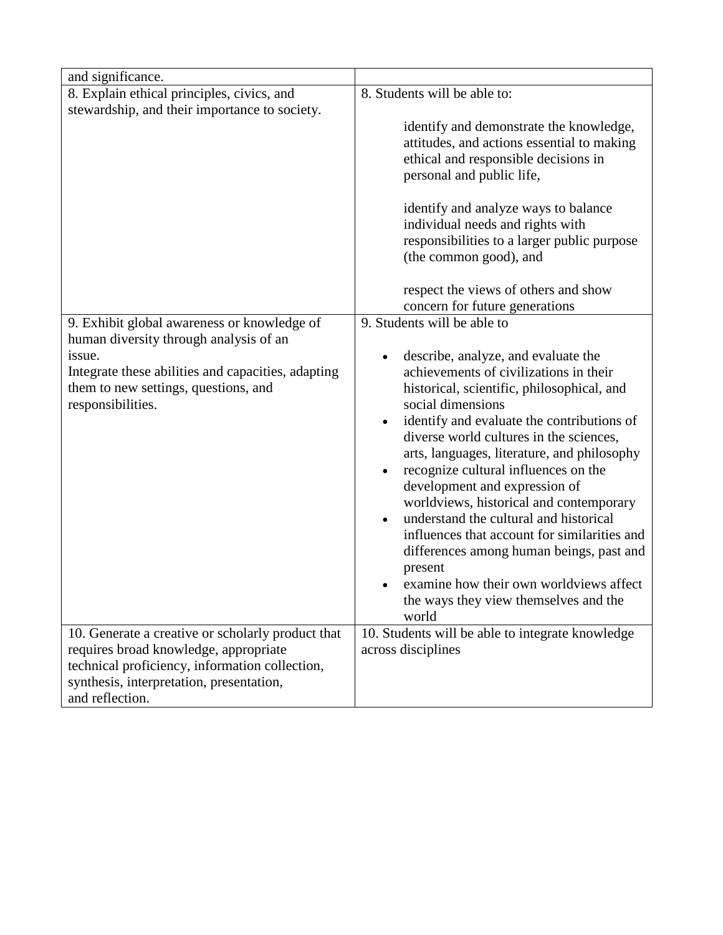| and significance.                                                                                                                                                                                                  |                                                                                                                                                                                                                                                                                                                                                                                                                                                                                                                                                                                                                                                                                           |
|--------------------------------------------------------------------------------------------------------------------------------------------------------------------------------------------------------------------|-------------------------------------------------------------------------------------------------------------------------------------------------------------------------------------------------------------------------------------------------------------------------------------------------------------------------------------------------------------------------------------------------------------------------------------------------------------------------------------------------------------------------------------------------------------------------------------------------------------------------------------------------------------------------------------------|
| 8. Explain ethical principles, civics, and                                                                                                                                                                         | 8. Students will be able to:                                                                                                                                                                                                                                                                                                                                                                                                                                                                                                                                                                                                                                                              |
| stewardship, and their importance to society.                                                                                                                                                                      | identify and demonstrate the knowledge,<br>attitudes, and actions essential to making<br>ethical and responsible decisions in<br>personal and public life,<br>identify and analyze ways to balance<br>individual needs and rights with<br>responsibilities to a larger public purpose<br>(the common good), and<br>respect the views of others and show                                                                                                                                                                                                                                                                                                                                   |
|                                                                                                                                                                                                                    | concern for future generations                                                                                                                                                                                                                                                                                                                                                                                                                                                                                                                                                                                                                                                            |
| 9. Exhibit global awareness or knowledge of<br>human diversity through analysis of an<br>issue.<br>Integrate these abilities and capacities, adapting<br>them to new settings, questions, and<br>responsibilities. | 9. Students will be able to<br>describe, analyze, and evaluate the<br>achievements of civilizations in their<br>historical, scientific, philosophical, and<br>social dimensions<br>identify and evaluate the contributions of<br>diverse world cultures in the sciences,<br>arts, languages, literature, and philosophy<br>recognize cultural influences on the<br>development and expression of<br>worldviews, historical and contemporary<br>understand the cultural and historical<br>influences that account for similarities and<br>differences among human beings, past and<br>present<br>examine how their own worldviews affect<br>the ways they view themselves and the<br>world |
| 10. Generate a creative or scholarly product that<br>requires broad knowledge, appropriate<br>technical proficiency, information collection,<br>synthesis, interpretation, presentation,<br>and reflection.        | 10. Students will be able to integrate knowledge<br>across disciplines                                                                                                                                                                                                                                                                                                                                                                                                                                                                                                                                                                                                                    |